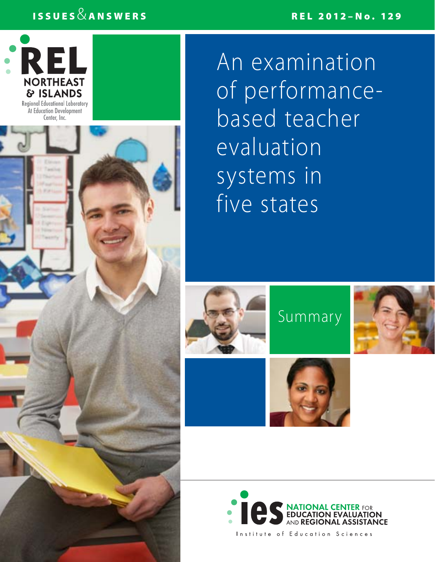# ISSUES  $\&$  answers relationship in the contract of the REL 2012–No. 129



An examination of performancebased teacher evaluation systems in five states











Institute of Education Sciences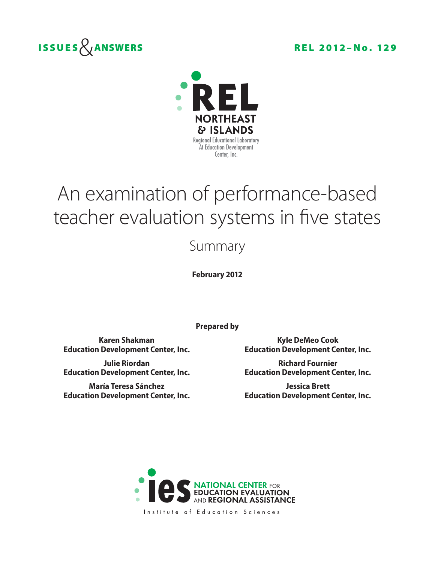



# An examination of performance-based teacher evaluation systems in five states

## Summary

**February 2012**

**Prepared by**

**Education Development Center, Inc. Education Development Center, Inc.**

**María Teresa Sánchez Jessica Brett**

**Karen Shakman Kyle DeMeo Cook**

**Julie Riordan Richard Fournier Education Development Center, Inc. Education Development Center, Inc.**

**Education Development Center, Inc. Education Development Center, Inc.**



Institute of Education Sciences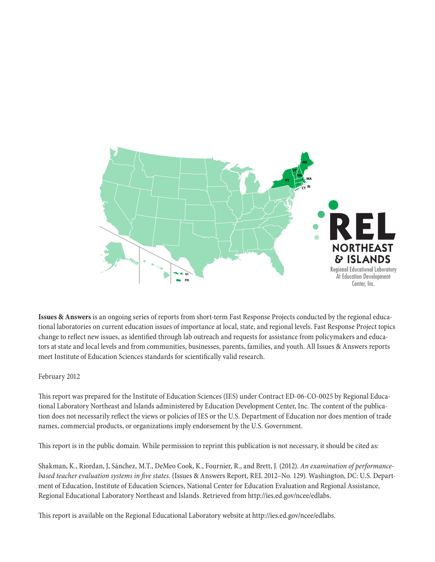

**Issues & Answers** is an ongoing series of reports from short-term Fast Response Projects conducted by the regional educational laboratories on current education issues of importance at local, state, and regional levels. Fast Response Project topics change to reflect new issues, as identified through lab outreach and requests for assistance from policymakers and educators at state and local levels and from communities, businesses, parents, families, and youth. All Issues & Answers reports meet Institute of Education Sciences standards for scientifically valid research.

#### February 2012

This report was prepared for the Institute of Education Sciences (IES) under Contract ED-06-CO-0025 by Regional Educational Laboratory Northeast and Islands administered by Education Development Center, Inc. The content of the publication does not necessarily reflect the views or policies of IES or the U.S. Department of Education nor does mention of trade names, commercial products, or organizations imply endorsement by the U.S. Government.

This report is in the public domain. While permission to reprint this publication is not necessary, it should be cited as:

Shakman, K., Riordan, J, Sánchez, M.T., DeMeo Cook, K., Fournier, R., and Brett, J. (2012). *An examination of performancebased teacher evaluation systems in five states.* (Issues & Answers Report, REL 2012–No. 129). Washington, DC: U.S. Department of Education, Institute of Education Sciences, National Center for Education Evaluation and Regional Assistance, Regional Educational Laboratory Northeast and Islands. Retrieved from http://ies.ed.gov/ncee/edlabs.

This report is available on the Regional Educational Laboratory website at http://ies.ed.gov/ncee/edlabs.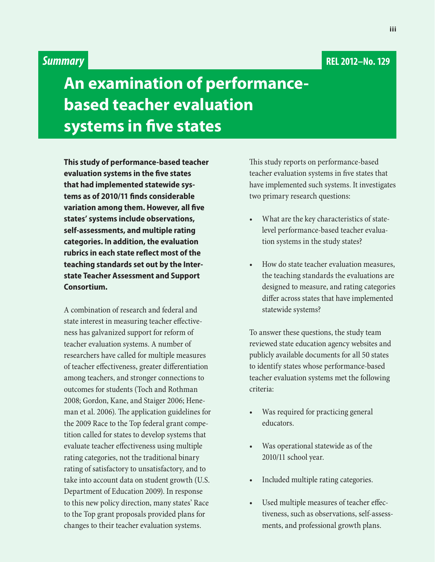### **REL 2012–No. 129**

## *Summary*

# **An examination of performancebased teacher evaluation systems in five states**

**This study of performance-based teacher evaluation systems in the five states that had implemented statewide systems as of 2010/11 finds considerable variation among them. However, all five states' systems include observations, self- assessments, and multiple rating categories. In addition, the evaluation rubrics in each state reflect most of the teaching standards set out by the Interstate Teacher Assessment and Support Consortium.**

A combination of research and federal and state interest in measuring teacher effectiveness has galvanized support for reform of teacher evaluation systems. A number of researchers have called for multiple measures of teacher effectiveness, greater differentiation among teachers, and stronger connections to outcomes for students (Toch and Rothman 2008; Gordon, Kane, and Staiger 2006; Heneman et al. 2006). The application guidelines for the 2009 Race to the Top federal grant competition called for states to develop systems that evaluate teacher effectiveness using multiple rating categories, not the traditional binary rating of satisfactory to unsatisfactory, and to take into account data on student growth (U.S. Department of Education 2009). In response to this new policy direction, many states' Race to the Top grant proposals provided plans for changes to their teacher evaluation systems.

This study reports on performance-based teacher evaluation systems in five states that have implemented such systems. It investigates two primary research questions:

- What are the key characteristics of statelevel performance-based teacher evaluation systems in the study states?
- How do state teacher evaluation measures, the teaching standards the evaluations are designed to measure, and rating categories differ across states that have implemented statewide systems?

To answer these questions, the study team reviewed state education agency websites and publicly available documents for all 50 states to identify states whose performance-based teacher evaluation systems met the following criteria:

- Was required for practicing general educators.
- Was operational statewide as of the 2010/11 school year.
- Included multiple rating categories.
- Used multiple measures of teacher effectiveness, such as observations, self-assessments, and professional growth plans.